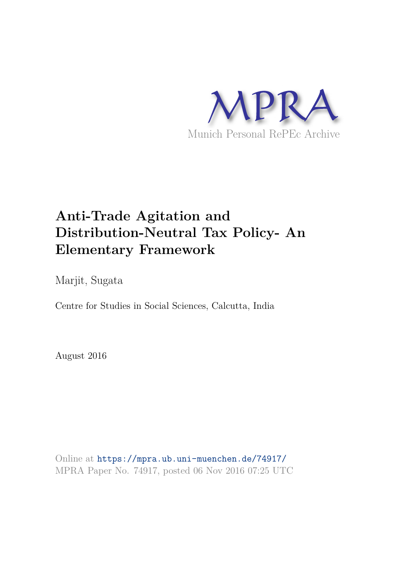

# **Anti-Trade Agitation and Distribution-Neutral Tax Policy- An Elementary Framework**

Marjit, Sugata

Centre for Studies in Social Sciences, Calcutta, India

August 2016

Online at https://mpra.ub.uni-muenchen.de/74917/ MPRA Paper No. 74917, posted 06 Nov 2016 07:25 UTC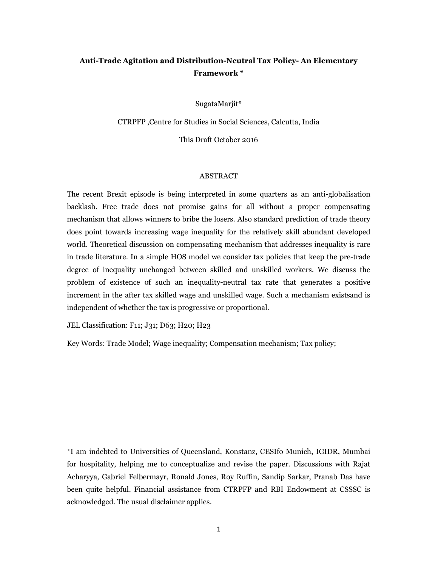## Anti-Trade Agitation and Distribution-Neutral Tax Policy- An Elementary Framework \*

SugataMarjit\*

CTRPFP, Centre for Studies in Social Sciences, Calcutta, India

This Draft October 2016

#### **ABSTRACT**

The recent Brexit episode is being interpreted in some quarters as an anti-globalisation backlash. Free trade does not promise gains for all without a proper compensating mechanism that allows winners to bribe the losers. Also standard prediction of trade theory does point towards increasing wage inequality for the relatively skill abundant developed world. Theoretical discussion on compensating mechanism that addresses inequality is rare in trade literature. In a simple HOS model we consider tax policies that keep the pre-trade degree of inequality unchanged between skilled and unskilled workers. We discuss the problem of existence of such an inequality-neutral tax rate that generates a positive increment in the after tax skilled wage and unskilled wage. Such a mechanism exists and is independent of whether the tax is progressive or proportional.

JEL Classification: F11; J31; D63; H20; H23

Key Words: Trade Model; Wage inequality; Compensation mechanism; Tax policy;

\*I am indebted to Universities of Queensland, Konstanz, CESIfo Munich, IGIDR, Mumbai for hospitality, helping me to conceptualize and revise the paper. Discussions with Rajat Acharyya, Gabriel Felbermayr, Ronald Jones, Roy Ruffin, Sandip Sarkar, Pranab Das have been quite helpful. Financial assistance from CTRPFP and RBI Endowment at CSSSC is acknowledged. The usual disclaimer applies.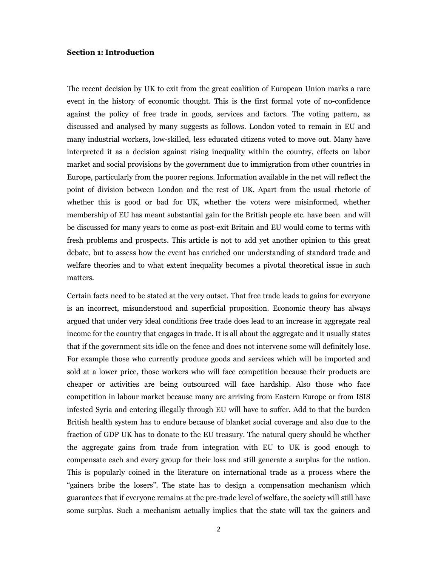### **Section 1: Introduction**

The recent decision by UK to exit from the great coalition of European Union marks a rare event in the history of economic thought. This is the first formal vote of no-confidence against the policy of free trade in goods, services and factors. The voting pattern, as discussed and analysed by many suggests as follows. London voted to remain in EU and many industrial workers, low-skilled, less educated citizens voted to move out. Many have interpreted it as a decision against rising inequality within the country, effects on labor market and social provisions by the government due to immigration from other countries in Europe, particularly from the poorer regions. Information available in the net will reflect the point of division between London and the rest of UK. Apart from the usual rhetoric of whether this is good or bad for UK, whether the voters were misinformed, whether membership of EU has meant substantial gain for the British people etc. have been and will be discussed for many years to come as post-exit Britain and EU would come to terms with fresh problems and prospects. This article is not to add yet another opinion to this great debate, but to assess how the event has enriched our understanding of standard trade and welfare theories and to what extent inequality becomes a pivotal theoretical issue in such matters.

Certain facts need to be stated at the very outset. That free trade leads to gains for everyone is an incorrect, misunderstood and superficial proposition. Economic theory has always argued that under very ideal conditions free trade does lead to an increase in aggregate real income for the country that engages in trade. It is all about the aggregate and it usually states that if the government sits idle on the fence and does not intervene some will definitely lose. For example those who currently produce goods and services which will be imported and sold at a lower price, those workers who will face competition because their products are cheaper or activities are being outsourced will face hardship. Also those who face competition in labour market because many are arriving from Eastern Europe or from ISIS infested Syria and entering illegally through EU will have to suffer. Add to that the burden British health system has to endure because of blanket social coverage and also due to the fraction of GDP UK has to donate to the EU treasury. The natural query should be whether the aggregate gains from trade from integration with EU to UK is good enough to compensate each and every group for their loss and still generate a surplus for the nation. This is popularly coined in the literature on international trade as a process where the "gainers bribe the losers". The state has to design a compensation mechanism which guarantees that if everyone remains at the pre-trade level of welfare, the society will still have some surplus. Such a mechanism actually implies that the state will tax the gainers and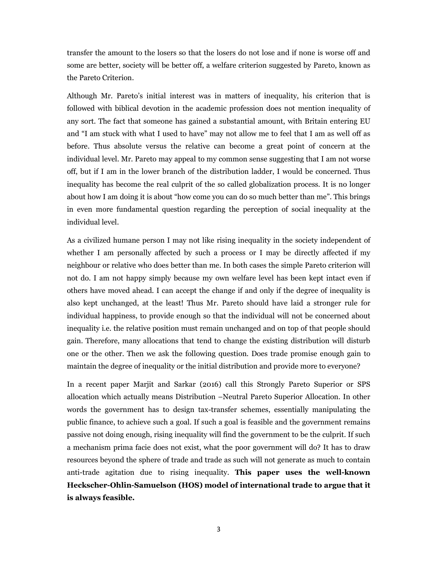transfer the amount to the losers so that the losers do not lose and if none is worse off and some are better, society will be better off, a welfare criterion suggested by Pareto, known as the Pareto Criterion.

Although Mr. Pareto's initial interest was in matters of inequality, his criterion that is followed with biblical devotion in the academic profession does not mention inequality of any sort. The fact that someone has gained a substantial amount, with Britain entering EU and "I am stuck with what I used to have" may not allow me to feel that I am as well off as before. Thus absolute versus the relative can become a great point of concern at the individual level. Mr. Pareto may appeal to my common sense suggesting that I am not worse off, but if I am in the lower branch of the distribution ladder, I would be concerned. Thus inequality has become the real culprit of the so called globalization process. It is no longer about how I am doing it is about "how come you can do so much better than me". This brings in even more fundamental question regarding the perception of social inequality at the individual level.

As a civilized humane person I may not like rising inequality in the society independent of whether I am personally affected by such a process or I may be directly affected if my neighbour or relative who does better than me. In both cases the simple Pareto criterion will not do. I am not happy simply because my own welfare level has been kept intact even if others have moved ahead. I can accept the change if and only if the degree of inequality is also kept unchanged, at the least! Thus Mr. Pareto should have laid a stronger rule for individual happiness, to provide enough so that the individual will not be concerned about inequality i.e. the relative position must remain unchanged and on top of that people should gain. Therefore, many allocations that tend to change the existing distribution will disturb one or the other. Then we ask the following question. Does trade promise enough gain to maintain the degree of inequality or the initial distribution and provide more to everyone?

In a recent paper Marjit and Sarkar (2016) call this Strongly Pareto Superior or SPS allocation which actually means Distribution -Neutral Pareto Superior Allocation. In other words the government has to design tax-transfer schemes, essentially manipulating the public finance, to achieve such a goal. If such a goal is feasible and the government remains passive not doing enough, rising inequality will find the government to be the culprit. If such a mechanism prima facie does not exist, what the poor government will do? It has to draw resources beyond the sphere of trade and trade as such will not generate as much to contain anti-trade agitation due to rising inequality. This paper uses the well-known Heckscher-Ohlin-Samuelson (HOS) model of international trade to argue that it is always feasible.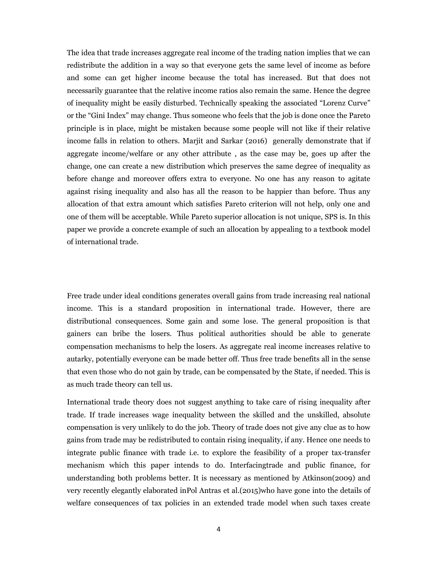The idea that trade increases aggregate real income of the trading nation implies that we can redistribute the addition in a way so that everyone gets the same level of income as before and some can get higher income because the total has increased. But that does not necessarily guarantee that the relative income ratios also remain the same. Hence the degree of inequality might be easily disturbed. Technically speaking the associated "Lorenz Curve" or the "Gini Index" may change. Thus someone who feels that the job is done once the Pareto principle is in place, might be mistaken because some people will not like if their relative income falls in relation to others. Marjit and Sarkar (2016) generally demonstrate that if aggregate income/welfare or any other attribute, as the case may be, goes up after the change, one can create a new distribution which preserves the same degree of inequality as before change and moreover offers extra to everyone. No one has any reason to agitate against rising inequality and also has all the reason to be happier than before. Thus any allocation of that extra amount which satisfies Pareto criterion will not help, only one and one of them will be acceptable. While Pareto superior allocation is not unique, SPS is. In this paper we provide a concrete example of such an allocation by appealing to a textbook model of international trade.

Free trade under ideal conditions generates overall gains from trade increasing real national income. This is a standard proposition in international trade. However, there are distributional consequences. Some gain and some lose. The general proposition is that gainers can bribe the losers. Thus political authorities should be able to generate compensation mechanisms to help the losers. As aggregate real income increases relative to autarky, potentially everyone can be made better off. Thus free trade benefits all in the sense that even those who do not gain by trade, can be compensated by the State, if needed. This is as much trade theory can tell us.

International trade theory does not suggest anything to take care of rising inequality after trade. If trade increases wage inequality between the skilled and the unskilled, absolute compensation is very unlikely to do the job. Theory of trade does not give any clue as to how gains from trade may be redistributed to contain rising inequality, if any. Hence one needs to integrate public finance with trade i.e. to explore the feasibility of a proper tax-transfer mechanism which this paper intends to do. Interfacingtrade and public finance, for understanding both problems better. It is necessary as mentioned by Atkinson(2009) and very recently elegantly elaborated in Pol Antras et al. (2015) who have gone into the details of welfare consequences of tax policies in an extended trade model when such taxes create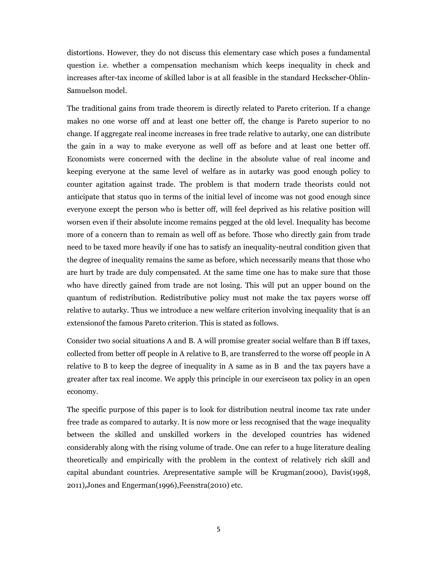distortions. However, they do not discuss this elementary case which poses a fundamental question *i.e.* whether a compensation mechanism which keeps inequality in check and increases after-tax income of skilled labor is at all feasible in the standard Heckscher-Ohlin-Samuelson model.

The traditional gains from trade theorem is directly related to Pareto criterion. If a change makes no one worse off and at least one better off, the change is Pareto superior to no change. If aggregate real income increases in free trade relative to autarky, one can distribute the gain in a way to make everyone as well off as before and at least one better off. Economists were concerned with the decline in the absolute value of real income and keeping everyone at the same level of welfare as in autarky was good enough policy to counter agitation against trade. The problem is that modern trade theorists could not anticipate that status quo in terms of the initial level of income was not good enough since everyone except the person who is better off, will feel deprived as his relative position will worsen even if their absolute income remains pegged at the old level. Inequality has become more of a concern than to remain as well off as before. Those who directly gain from trade need to be taxed more heavily if one has to satisfy an inequality-neutral condition given that the degree of inequality remains the same as before, which necessarily means that those who are hurt by trade are duly compensated. At the same time one has to make sure that those who have directly gained from trade are not losing. This will put an upper bound on the quantum of redistribution. Redistributive policy must not make the tax payers worse off relative to autarky. Thus we introduce a new welfare criterion involving inequality that is an extension of the famous Pareto criterion. This is stated as follows.

Consider two social situations A and B. A will promise greater social welfare than B iff taxes, collected from better off people in A relative to B, are transferred to the worse off people in A relative to B to keep the degree of inequality in A same as in B and the tax payers have a greater after tax real income. We apply this principle in our exercise on tax policy in an open economy.

The specific purpose of this paper is to look for distribution neutral income tax rate under free trade as compared to autarky. It is now more or less recognised that the wage inequality between the skilled and unskilled workers in the developed countries has widened considerably along with the rising volume of trade. One can refer to a huge literature dealing theoretically and empirically with the problem in the context of relatively rich skill and capital abundant countries. Arepresentative sample will be Krugman(2000), Davis(1998, 2011), Jones and Engerman(1996), Feenstra(2010) etc.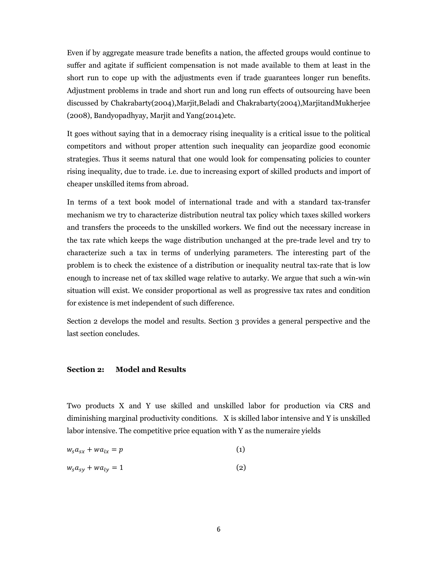Even if by aggregate measure trade benefits a nation, the affected groups would continue to suffer and agitate if sufficient compensation is not made available to them at least in the short run to cope up with the adjustments even if trade guarantees longer run benefits. Adjustment problems in trade and short run and long run effects of outsourcing have been discussed by Chakrabarty(2004), Marjit, Beladi and Chakrabarty(2004), Marjitand Mukherjee (2008), Bandyopadhyay, Marjit and Yang(2014) etc.

It goes without saying that in a democracy rising inequality is a critical issue to the political competitors and without proper attention such inequality can jeopardize good economic strategies. Thus it seems natural that one would look for compensating policies to counter rising inequality, due to trade. i.e. due to increasing export of skilled products and import of cheaper unskilled items from abroad.

In terms of a text book model of international trade and with a standard tax-transfer mechanism we try to characterize distribution neutral tax policy which taxes skilled workers and transfers the proceeds to the unskilled workers. We find out the necessary increase in the tax rate which keeps the wage distribution unchanged at the pre-trade level and try to characterize such a tax in terms of underlying parameters. The interesting part of the problem is to check the existence of a distribution or inequality neutral tax-rate that is low enough to increase net of tax skilled wage relative to autarky. We argue that such a win-win situation will exist. We consider proportional as well as progressive tax rates and condition for existence is met independent of such difference.

Section 2 develops the model and results. Section 3 provides a general perspective and the last section concludes.

#### **Section 2: Model and Results**

Two products X and Y use skilled and unskilled labor for production via CRS and diminishing marginal productivity conditions. X is skilled labor intensive and Y is unskilled labor intensive. The competitive price equation with Y as the numeraire yields

$$
w_s a_{sx} + w a_{lx} = p \tag{1}
$$

$$
w_s a_{sy} + w a_{ly} = 1 \tag{2}
$$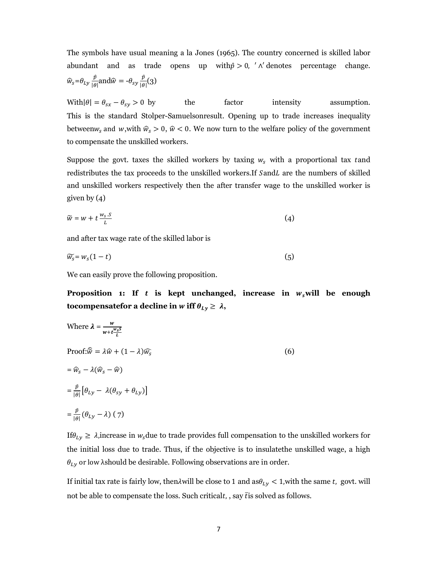The symbols have usual meaning a la Jones (1965). The country concerned is skilled labor abundant and as trade opens up with $\hat{p} > 0$ , ' $\wedge$ ' denotes percentage change.  $\hat{w}_s = \theta_{Ly} \frac{\hat{p}}{|\theta|}$ and $\hat{w} = -\theta_{sy} \frac{\hat{p}}{|\theta|}(3)$ 

With  $|\theta| = \theta_{sx} - \theta_{sy} > 0$  by the factor intensity assumption. This is the standard Stolper-Samuelsonresult. Opening up to trade increases inequality between $w_s$  and w, with  $\hat{w}_s > 0$ ,  $\hat{w} < 0$ . We now turn to the welfare policy of the government to compensate the unskilled workers.

Suppose the govt. taxes the skilled workers by taxing  $w_s$  with a proportional tax tand redistributes the tax proceeds to the unskilled workers.If SandL are the numbers of skilled and unskilled workers respectively then the after transfer wage to the unskilled worker is given by  $(4)$ 

$$
\widetilde{w} = w + t \frac{w_s \cdot s}{l} \tag{4}
$$

and after tax wage rate of the skilled labor is

$$
\widetilde{w_s} = w_s(1-t) \tag{5}
$$

We can easily prove the following proposition.

Proposition 1: If t is kept unchanged, increase in  $w_s$  will be enough tocompensate for a decline in w iff  $\theta_{Ly} \geq \lambda$ ,

 $(6)$ 

Where 
$$
\lambda = \frac{w}{w + t \frac{w_s s}{L}}
$$
  
\nProof:  $\hat{w} = \lambda \hat{w} + (1 - \lambda)\hat{w}_s$   
\n $= \hat{w}_s - \lambda(\hat{w}_s - \hat{w})$   
\n $= \frac{\hat{p}}{|\theta|} [\theta_{Ly} - \lambda(\theta_{sy} + \theta_{Ly})]$   
\n $= \frac{\hat{p}}{|\theta|} (\theta_{Ly} - \lambda) (7)$ 

If  $\theta_{Ly} \geq \lambda$ , increase in  $w_s$  due to trade provides full compensation to the unskilled workers for the initial loss due to trade. Thus, if the objective is to insulate the unskilled wage, a high  $\theta_{LV}$  or low  $\lambda$ should be desirable. Following observations are in order.

If initial tax rate is fairly low, then  $\lambda$  will be close to 1 and as  $\theta_{Ly}$  < 1, with the same t, govt. will not be able to compensate the loss. Such criticalt, , say  $\overline{t}$  is solved as follows.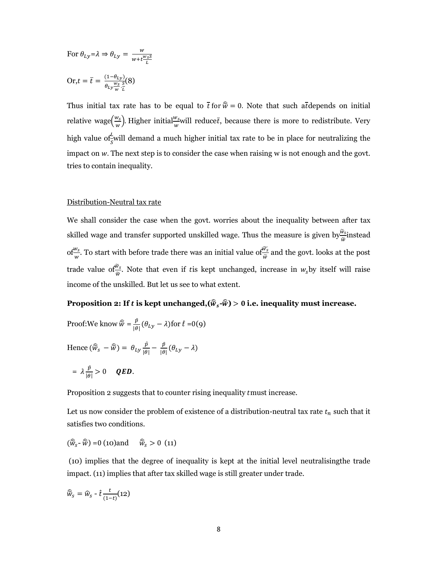For 
$$
\theta_{Ly} = \lambda \Rightarrow \theta_{Ly} = \frac{w}{w + t \frac{w_S S}{L}}
$$
  
Or,  $t = \overline{t} = \frac{(1 - \theta_{Ly})}{\theta_{Ly} \frac{w_S}{w} \cdot \overline{t}}$  (8)

Thus initial tax rate has to be equal to  $\bar{t}$  for  $\hat{\tilde{w}} = 0$ . Note that such at depends on initial relative wage $(\frac{w_s}{w})$ . Higher initial $\frac{w_s}{w}$ will reducet, because there is more to redistribute. Very high value of will demand a much higher initial tax rate to be in place for neutralizing the impact on w. The next step is to consider the case when raising w is not enough and the govt. tries to contain inequality.

### Distribution-Neutral tax rate

We shall consider the case when the govt. worries about the inequality between after tax skilled wage and transfer supported unskilled wage. Thus the measure is given by  $\frac{\hat{w}_s}{\hat{\omega}}$  instead of  $\frac{w_s}{w}$ . To start with before trade there was an initial value of  $\frac{\widetilde{w_s}}{\widetilde{w}}$  and the govt. looks at the post trade value of  $\frac{\tilde{w}_s}{\tilde{w}}$ . Note that even if tis kept unchanged, increase in  $w_s$ by itself will raise income of the unskilled. But let us see to what extent.

### Proposition 2: If t is kept unchanged,  $(\widehat{w}_s \cdot \widehat{w}) > 0$  i.e. inequality must increase.

Proof: We know 
$$
\hat{w} = \frac{\hat{p}}{|\theta|} (\theta_{Ly} - \lambda)
$$
 for  $\hat{t} = 0$ (9)

Hence 
$$
(\widehat{\widetilde{w}}_s - \widehat{\widetilde{w}}) = \theta_{Ly} \frac{\widehat{p}}{|\theta|} - \frac{\widehat{p}}{|\theta|} (\theta_{Ly} - \lambda)
$$

$$
= \lambda \frac{\hat{p}}{|\theta|} > 0 \quad QED.
$$

Proposition 2 suggests that to counter rising inequality tmust increase.

Let us now consider the problem of existence of a distribution-neutral tax rate  $t_n$  such that it satisfies two conditions.

$$
(\widehat{\widetilde{W}}_{S} - \widehat{\widetilde{W}}) = 0
$$
 (10) and  $\widehat{\widetilde{W}}_{S} > 0$  (11)

(10) implies that the degree of inequality is kept at the initial level neutralising the trade impact. (11) implies that after tax skilled wage is still greater under trade.

$$
\widehat{W}_S = \widehat{W}_S - \widehat{t} \frac{t}{(1-t)} (12)
$$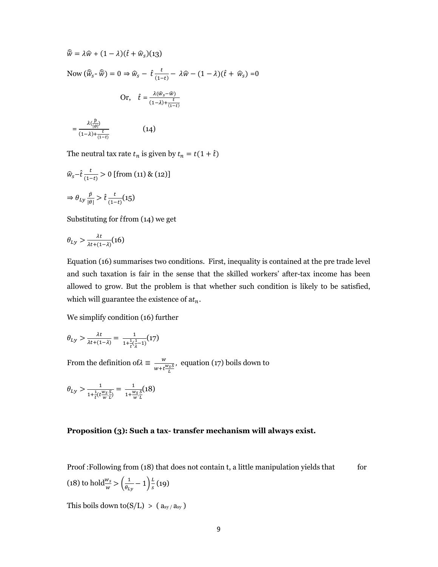$$
\widehat{w} = \lambda \widehat{w} + (1 - \lambda)(\widehat{t} + \widehat{w}_s)(13)
$$
  
\nNow  $(\widehat{w}_s - \widehat{w}) = 0 \Rightarrow \widehat{w}_s - \widehat{t} \frac{t}{(1 - t)} - \lambda \widehat{w} - (1 - \lambda)(\widehat{t} + \widehat{w}_s) = 0$   
\nOr,  $\widehat{t} = \frac{\lambda(\widehat{w}_s - \widehat{w})}{(1 - \lambda) + \frac{t}{(1 - t)}}$   
\n $= \frac{\lambda(\frac{\widehat{p}}{|\theta|})}{(1 - \lambda) + \frac{t}{(1 - t)}}$  (14)

The neutral tax rate  $t_n$  is given by  $t_n = t(1 + \hat{t})$ 

$$
\hat{w}_s - \hat{t} \frac{t}{(1-t)} > 0 \text{ [from (11) & (12)]}
$$
\n
$$
\Rightarrow \theta_{Ly} \frac{\hat{p}}{|\theta|} > \hat{t} \frac{t}{(1-t)} (15)
$$

 $(1-t)$ 

Substituting for  $\hat{t}$ from (14) we get

 O? O?2(CDO)A!"B

Equation (16) summarises two conditions. First, inequality is contained at the pre trade level and such taxation is fair in the sense that the skilled workers' after-tax income has been allowed to grow. But the problem is that whether such condition is likely to be satisfied, which will guarantee the existence of  $\mathrm{at}_n.$ 

We simplify condition (16) further

$$
\theta_{Ly} > \frac{\lambda t}{\lambda t + (1-\lambda)} = \frac{1}{1 + \frac{1}{t}(\frac{1}{\lambda} - 1)}(17)
$$

From the definition of  $\lambda \equiv \frac{w}{w + t \frac{w_s S}{L}}$ , equation  $(17)$  boils down to

$$
\theta_{Ly} > \frac{1}{1 + \frac{1}{t} (t \frac{w_s}{w} \cdot \frac{S}{L})} = \frac{1}{1 + \frac{w_s}{w} \cdot \frac{S}{L}} (18)
$$

### **Proposition (3): Such a tax- transfer mechanism will always exist.**

Proof: Following from (18) that does not contain t, a little manipulation yields that for (18) to hold $\frac{w_s}{w} > \left(\frac{1}{\theta_L}\right)$  $\frac{1}{\theta_{Ly}}$  – 1) $\frac{L}{s}$  $\frac{L}{s}(19)$ 

This boils down to  $(S/L) > (a_{sy}/a_{sy})$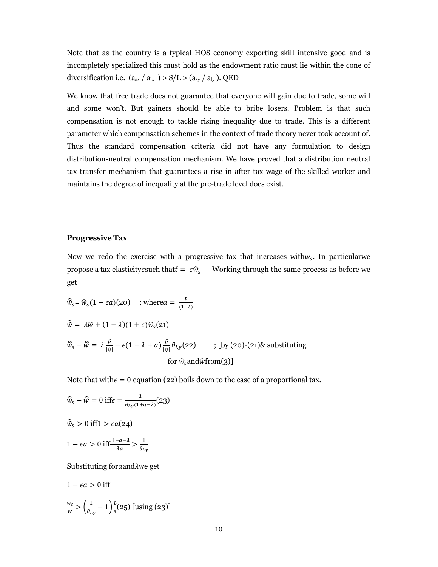Note that as the country is a typical HOS economy exporting skill intensive good and is incompletely specialized this must hold as the endowment ratio must lie within the cone of diversification i.e.  $(a_{sx} / a_{lx} > S/L > (a_{sy} / a_{ly})$ . QED

We know that free trade does not guarantee that everyone will gain due to trade, some will and some won't. But gainers should be able to bribe losers. Problem is that such compensation is not enough to tackle rising inequality due to trade. This is a different parameter which compensation schemes in the context of trade theory never took account of. Thus the standard compensation criteria did not have any formulation to design distribution-neutral compensation mechanism. We have proved that a distribution neutral tax transfer mechanism that guarantees a rise in after tax wage of the skilled worker and maintains the degree of inequality at the pre-trade level does exist.

### **Progressive Tax**

Now we redo the exercise with a progressive tax that increases with  $w_s$ . In particular we propose a tax elasticity esuch that  $\hat{t} = \epsilon \hat{w}_s$  Working through the same process as before we get

$$
\widehat{w}_{s} = \widehat{w}_{s}(1 - \epsilon a)(20) \quad \text{; where } a = \frac{t}{(1 - t)}
$$
\n
$$
\widehat{w} = \lambda \widehat{w} + (1 - \lambda)(1 + \epsilon)\widehat{w}_{s}(21)
$$
\n
$$
\widehat{w}_{s} - \widehat{w} = \lambda \frac{\widehat{p}}{|Q|} - \epsilon(1 - \lambda + a) \frac{\widehat{p}}{|Q|} \theta_{Ly}(22) \quad \text{; [by (20)-(21)&\text{substituting} for } \widehat{w}_{s} \text{and} \widehat{w} \text{from}(3)]
$$

Note that with  $\epsilon = 0$  equation (22) boils down to the case of a proportional tax.

$$
\widehat{w}_s - \widehat{w} = 0 \text{ iff } \epsilon = \frac{\lambda}{\theta_{Ly}(1 + a - \lambda)} (23)
$$
  

$$
\widehat{w}_s > 0 \text{ iff } 1 > \epsilon a (24)
$$
  

$$
1 - \epsilon a > 0 \text{ iff } \frac{1 + a - \lambda}{\lambda a} > \frac{1}{\theta_{Ly}}
$$

Substituting for and  $\lambda$  we get

$$
1 - \epsilon a > 0
$$
 iff  

$$
\frac{w_s}{w} > \left(\frac{1}{\theta_{Ly}} - 1\right) \frac{L}{s} (25) \text{ [using (23)]}
$$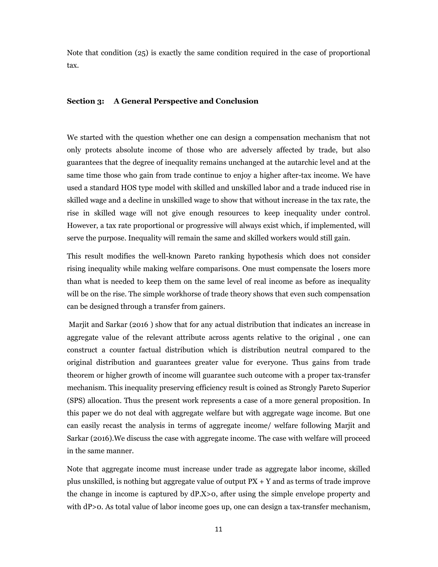Note that condition  $(25)$  is exactly the same condition required in the case of proportional tax.

### Section 3: A General Perspective and Conclusion

We started with the question whether one can design a compensation mechanism that not only protects absolute income of those who are adversely affected by trade, but also guarantees that the degree of inequality remains unchanged at the autarchic level and at the same time those who gain from trade continue to enjoy a higher after-tax income. We have used a standard HOS type model with skilled and unskilled labor and a trade induced rise in skilled wage and a decline in unskilled wage to show that without increase in the tax rate, the rise in skilled wage will not give enough resources to keep inequality under control. However, a tax rate proportional or progressive will always exist which, if implemented, will serve the purpose. Inequality will remain the same and skilled workers would still gain.

This result modifies the well-known Pareto ranking hypothesis which does not consider rising inequality while making welfare comparisons. One must compensate the losers more than what is needed to keep them on the same level of real income as before as inequality will be on the rise. The simple workhorse of trade theory shows that even such compensation can be designed through a transfer from gainers.

Mariit and Sarkar (2016) show that for any actual distribution that indicates an increase in aggregate value of the relevant attribute across agents relative to the original, one can construct a counter factual distribution which is distribution neutral compared to the original distribution and guarantees greater value for everyone. Thus gains from trade theorem or higher growth of income will guarantee such outcome with a proper tax-transfer mechanism. This inequality preserving efficiency result is coined as Strongly Pareto Superior (SPS) allocation. Thus the present work represents a case of a more general proposition. In this paper we do not deal with aggregate welfare but with aggregate wage income. But one can easily recast the analysis in terms of aggregate income/ welfare following Marjit and Sarkar (2016). We discuss the case with aggregate income. The case with welfare will proceed in the same manner.

Note that aggregate income must increase under trade as aggregate labor income, skilled plus unskilled, is nothing but aggregate value of output  $PX + Y$  and as terms of trade improve the change in income is captured by  $dP.X>0$ , after using the simple envelope property and with dP>0. As total value of labor income goes up, one can design a tax-transfer mechanism,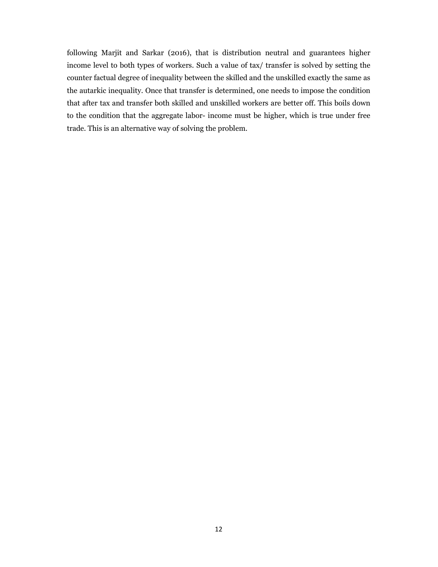following Marjit and Sarkar (2016), that is distribution neutral and guarantees higher income level to both types of workers. Such a value of tax/ transfer is solved by setting the counter factual degree of inequality between the skilled and the unskilled exactly the same as the autarkic inequality. Once that transfer is determined, one needs to impose the condition that after tax and transfer both skilled and unskilled workers are better off. This boils down to the condition that the aggregate labor- income must be higher, which is true under free trade. This is an alternative way of solving the problem.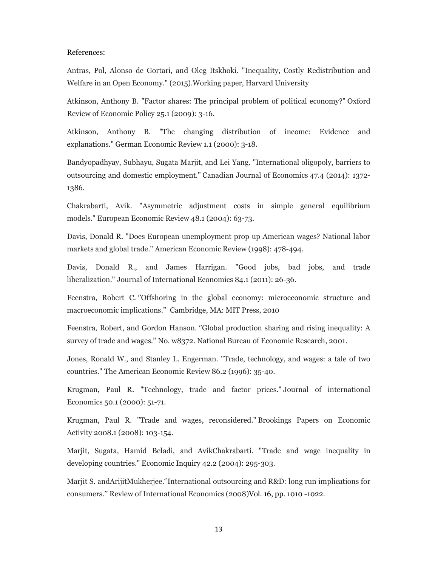### References:

Antras, Pol, Alonso de Gortari, and Oleg Itskhoki. "Inequality, Costly Redistribution and Welfare in an Open Economy." (2015). Working paper, Harvard University

Atkinson, Anthony B. "Factor shares: The principal problem of political economy?" Oxford Review of Economic Policy 25.1 (2009): 3-16.

Atkinson, Anthony B. "The changing distribution of income: Evidence and explanations." German Economic Review 1.1 (2000): 3-18.

Bandyopadhyay, Subhayu, Sugata Marjit, and Lei Yang. "International oligopoly, barriers to outsourcing and domestic employment." Canadian Journal of Economics 47.4 (2014): 1372-1386.

Chakrabarti, Avik. "Asymmetric adjustment costs in simple general equilibrium models." European Economic Review 48.1 (2004): 63-73.

Davis, Donald R. "Does European unemployment prop up American wages? National labor markets and global trade." American Economic Review (1998): 478-494.

Davis, Donald R., and James Harrigan. "Good jobs, bad jobs, and trade liberalization." Journal of International Economics 84.1 (2011): 26-36.

Feenstra, Robert C. "Offshoring in the global economy: microeconomic structure and macroeconomic implications." Cambridge, MA: MIT Press, 2010

Feenstra, Robert, and Gordon Hanson. "Global production sharing and rising inequality: A survey of trade and wages." No. w8372. National Bureau of Economic Research, 2001.

Jones, Ronald W., and Stanley L. Engerman. "Trade, technology, and wages: a tale of two countries." The American Economic Review 86.2 (1996): 35-40.

Krugman, Paul R. "Technology, trade and factor prices." Journal of international Economics 50.1 (2000): 51-71.

Krugman, Paul R. "Trade and wages, reconsidered." Brookings Papers on Economic Activity 2008.1 (2008): 103-154.

Marjit, Sugata, Hamid Beladi, and AvikChakrabarti. "Trade and wage inequality in developing countries." Economic Inquiry 42.2 (2004): 295-303.

Mariit S. and Arijit Mukherjee. The rational outsourcing and R&D; long run implications for consumers." Review of International Economics (2008) Vol. 16, pp. 1010 -1022.